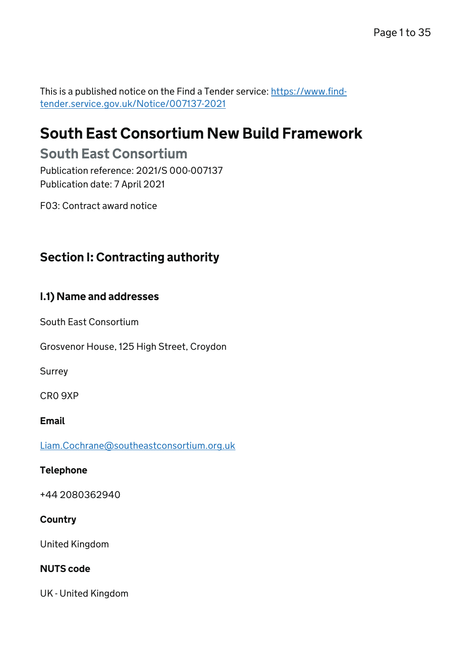This is a published notice on the Find a Tender service: [https://www.find](https://www.find-tender.service.gov.uk/Notice/007137-2021)[tender.service.gov.uk/Notice/007137-2021](https://www.find-tender.service.gov.uk/Notice/007137-2021)

# South East Consortium New Build Framework

# South East Consortium

Publication reference: 2021/S 000-007137 Publication date: 7 April 2021

F03: Contract award notice

# Section I: Contracting authority

## I.1) Name and addresses

South East Consortium

Grosvenor House, 125 High Street, Croydon

Surrey

CR0 9XP

#### Email

[Liam.Cochrane@southeastconsortium.org.uk](mailto:Liam.Cochrane@southeastconsortium.org.uk)

#### Telephone

+44 2080362940

## **Country**

United Kingdom

#### NUTS code

UK - United Kingdom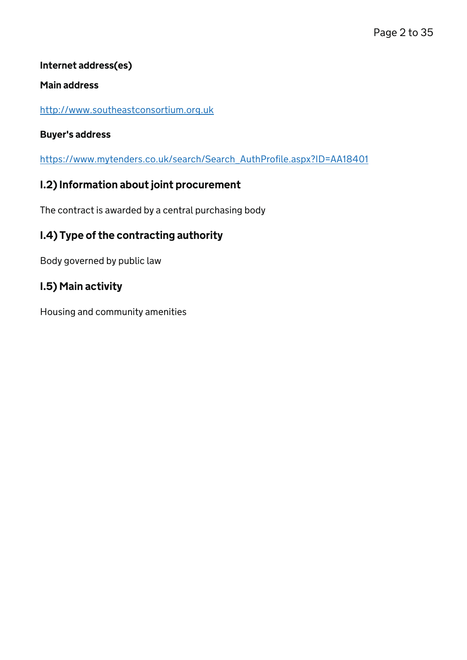## Internet address(es)

### Main address

<http://www.southeastconsortium.org.uk>

## Buyer's address

[https://www.mytenders.co.uk/search/Search\\_AuthProfile.aspx?ID=AA18401](https://www.mytenders.co.uk/search/Search_AuthProfile.aspx?ID=AA18401)

## I.2) Information about joint procurement

The contract is awarded by a central purchasing body

## I.4) Type of the contracting authority

Body governed by public law

## I.5) Main activity

Housing and community amenities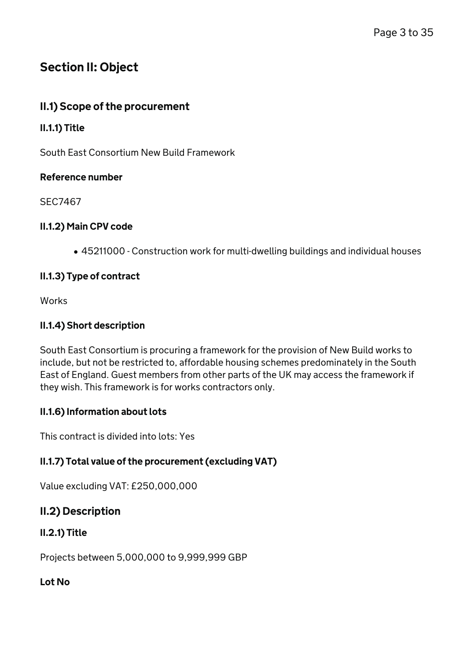# Section II: Object

## II.1) Scope of the procurement

### II.1.1) Title

South East Consortium New Build Framework

#### Reference number

SEC7467

### II.1.2) Main CPV code

45211000 - Construction work for multi-dwelling buildings and individual houses

### II.1.3) Type of contract

**Works** 

### II.1.4) Short description

South East Consortium is procuring a framework for the provision of New Build works to include, but not be restricted to, affordable housing schemes predominately in the South East of England. Guest members from other parts of the UK may access the framework if they wish. This framework is for works contractors only.

## II.1.6) Information about lots

This contract is divided into lots: Yes

## II.1.7) Total value of the procurement (excluding VAT)

Value excluding VAT: £250,000,000

## II.2) Description

## II.2.1) Title

Projects between 5,000,000 to 9,999,999 GBP

#### Lot No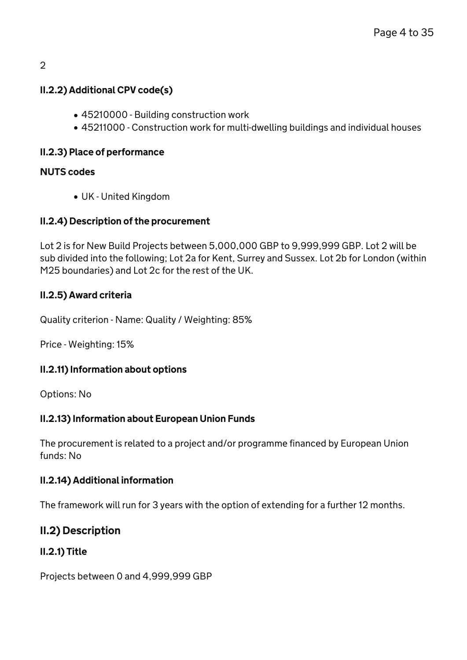#### $\mathfrak{D}$

## II.2.2) Additional CPV code(s)

- 45210000 Building construction work
- 45211000 Construction work for multi-dwelling buildings and individual houses

## II.2.3) Place of performance

### NUTS codes

UK - United Kingdom

### II.2.4) Description of the procurement

Lot 2 is for New Build Projects between 5,000,000 GBP to 9,999,999 GBP. Lot 2 will be sub divided into the following; Lot 2a for Kent, Surrey and Sussex. Lot 2b for London (within M25 boundaries) and Lot 2c for the rest of the UK.

### II.2.5) Award criteria

Quality criterion - Name: Quality / Weighting: 85%

Price - Weighting: 15%

## II.2.11) Information about options

Options: No

## II.2.13) Information about European Union Funds

The procurement is related to a project and/or programme financed by European Union funds: No

#### II.2.14) Additional information

The framework will run for 3 years with the option of extending for a further 12 months.

## II.2) Description

## II.2.1) Title

Projects between 0 and 4,999,999 GBP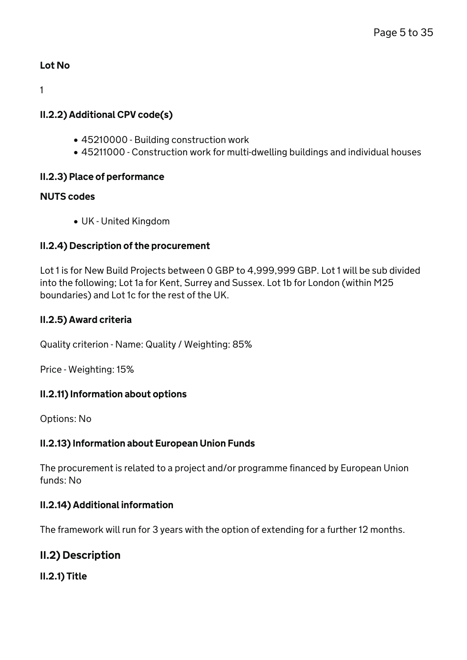## Lot No

1

## II.2.2) Additional CPV code(s)

- 45210000 Building construction work
- 45211000 Construction work for multi-dwelling buildings and individual houses

## II.2.3) Place of performance

## NUTS codes

UK - United Kingdom

## II.2.4) Description of the procurement

Lot 1 is for New Build Projects between 0 GBP to 4,999,999 GBP. Lot 1 will be sub divided into the following; Lot 1a for Kent, Surrey and Sussex. Lot 1b for London (within M25 boundaries) and Lot 1c for the rest of the UK.

## II.2.5) Award criteria

Quality criterion - Name: Quality / Weighting: 85%

Price - Weighting: 15%

## II.2.11) Information about options

Options: No

## II.2.13) Information about European Union Funds

The procurement is related to a project and/or programme financed by European Union funds: No

## II.2.14) Additional information

The framework will run for 3 years with the option of extending for a further 12 months.

## II.2) Description

II.2.1) Title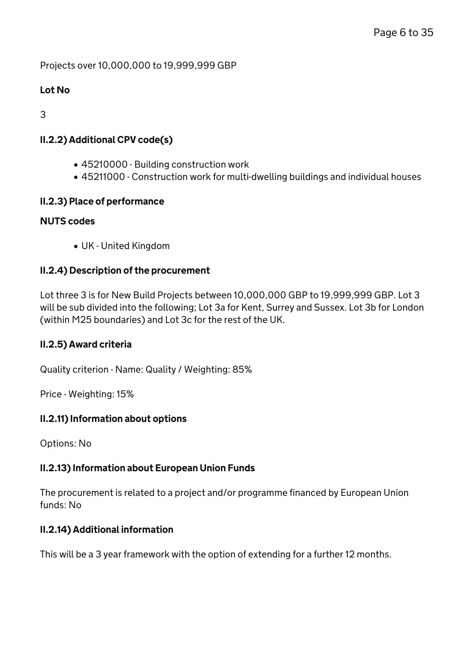Projects over 10,000,000 to 19,999,999 GBP

## Lot No

3

## II.2.2) Additional CPV code(s)

- 45210000 Building construction work
- 45211000 Construction work for multi-dwelling buildings and individual houses

## II.2.3) Place of performance

#### NUTS codes

UK - United Kingdom

### II.2.4) Description of the procurement

Lot three 3 is for New Build Projects between 10,000,000 GBP to 19,999,999 GBP. Lot 3 will be sub divided into the following; Lot 3a for Kent, Surrey and Sussex. Lot 3b for London (within M25 boundaries) and Lot 3c for the rest of the UK.

#### II.2.5) Award criteria

Quality criterion - Name: Quality / Weighting: 85%

Price - Weighting: 15%

#### II.2.11) Information about options

Options: No

## II.2.13) Information about European Union Funds

The procurement is related to a project and/or programme financed by European Union funds: No

## II.2.14) Additional information

This will be a 3 year framework with the option of extending for a further 12 months.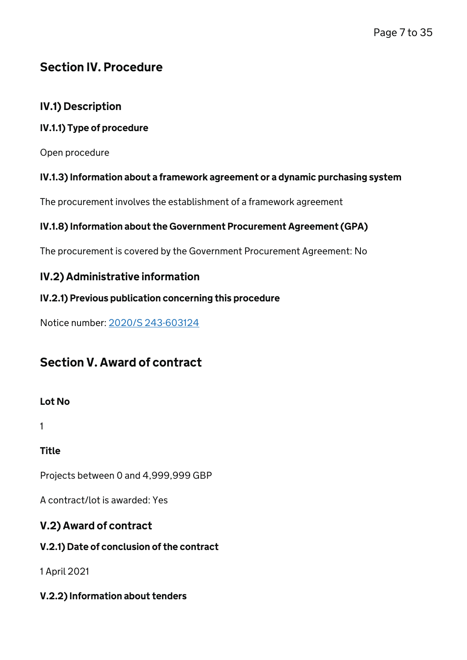# Section IV. Procedure

## IV.1) Description

## IV.1.1) Type of procedure

Open procedure

## IV.1.3) Information about a framework agreement or a dynamic purchasing system

The procurement involves the establishment of a framework agreement

## IV.1.8) Information about the Government Procurement Agreement (GPA)

The procurement is covered by the Government Procurement Agreement: No

## IV.2) Administrative information

## IV.2.1) Previous publication concerning this procedure

Notice number: [2020/S 243-603124](https://ted.europa.eu/udl?uri=TED:NOTICE:603124-2020:TEXT:EN:HTML)

# Section V. Award of contract

## Lot No

1

Title

Projects between 0 and 4,999,999 GBP

A contract/lot is awarded: Yes

## V.2) Award of contract

## V.2.1) Date of conclusion of the contract

1 April 2021

## V.2.2) Information about tenders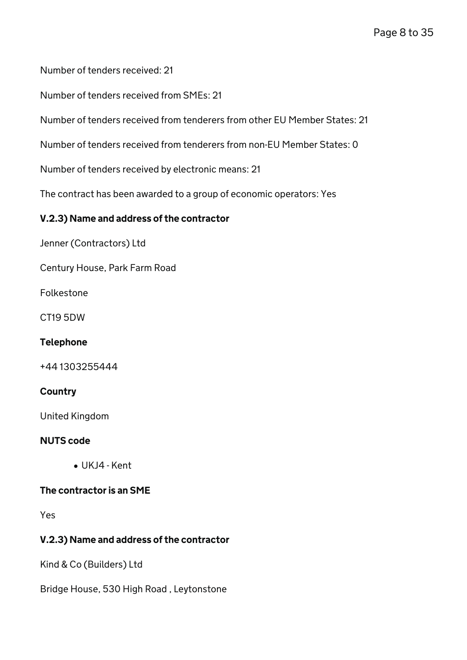Number of tenders received: 21

Number of tenders received from SMEs: 21

Number of tenders received from tenderers from other EU Member States: 21

Number of tenders received from tenderers from non-EU Member States: 0

Number of tenders received by electronic means: 21

The contract has been awarded to a group of economic operators: Yes

### V.2.3) Name and address of the contractor

Jenner (Contractors) Ltd

Century House, Park Farm Road

Folkestone

CT19 5DW

#### Telephone

+44 1303255444

#### **Country**

United Kingdom

#### NUTS code

UKJ4 - Kent

#### The contractor is an SME

Yes

## V.2.3) Name and address of the contractor

Kind & Co (Builders) Ltd

Bridge House, 530 High Road , Leytonstone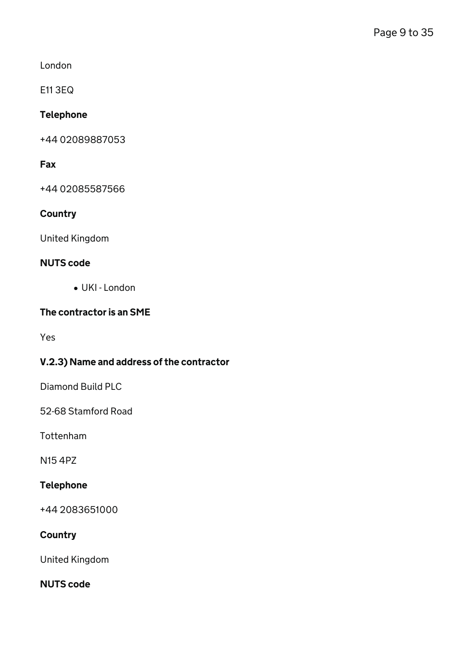London

E11 3EQ

### Telephone

+44 02089887053

### Fax

+44 02085587566

### **Country**

United Kingdom

### NUTS code

UKI - London

### The contractor is an SME

Yes

## V.2.3) Name and address of the contractor

Diamond Build PLC

52-68 Stamford Road

Tottenham

N15 4PZ

## Telephone

+44 2083651000

#### **Country**

United Kingdom

### NUTS code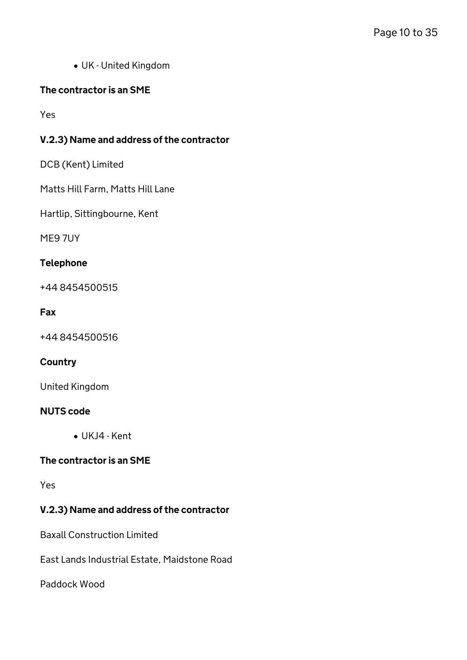UK - United Kingdom

### The contractor is an SME

Yes

### V.2.3) Name and address of the contractor

DCB (Kent) Limited

Matts Hill Farm, Matts Hill Lane

Hartlip, Sittingbourne, Kent

ME9 7UY

#### Telephone

+44 8454500515

#### Fax

+44 8454500516

#### **Country**

United Kingdom

#### NUTS code

UKJ4 - Kent

#### The contractor is an SME

Yes

## V.2.3) Name and address of the contractor

Baxall Construction Limited

East Lands Industrial Estate, Maidstone Road

Paddock Wood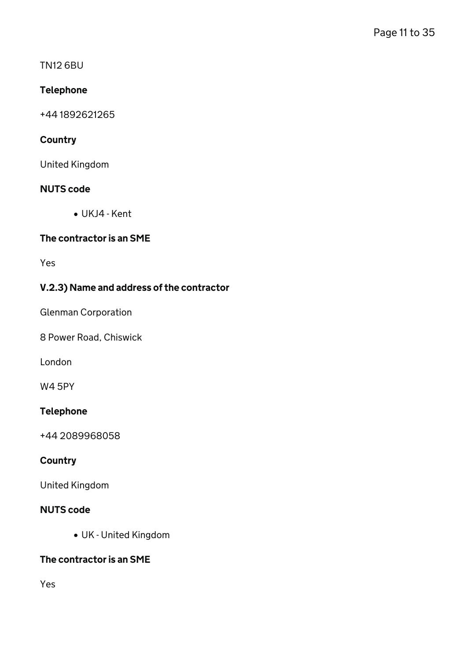## TN12 6BU

## Telephone

+44 1892621265

## **Country**

United Kingdom

## NUTS code

UKJ4 - Kent

## The contractor is an SME

Yes

## V.2.3) Name and address of the contractor

Glenman Corporation

8 Power Road, Chiswick

London

W4 5PY

## Telephone

+44 2089968058

## **Country**

United Kingdom

## NUTS code

UK - United Kingdom

## The contractor is an SME

Yes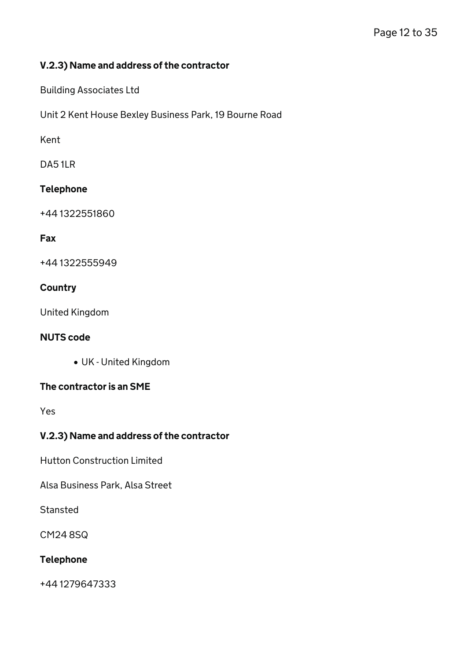### V.2.3) Name and address of the contractor

Building Associates Ltd

Unit 2 Kent House Bexley Business Park, 19 Bourne Road

Kent

DA5 1LR

### Telephone

+44 1322551860

#### Fax

+44 1322555949

### **Country**

United Kingdom

#### NUTS code

UK - United Kingdom

#### The contractor is an SME

Yes

## V.2.3) Name and address of the contractor

Hutton Construction Limited

Alsa Business Park, Alsa Street

**Stansted** 

CM24 8SQ

## Telephone

+44 1279647333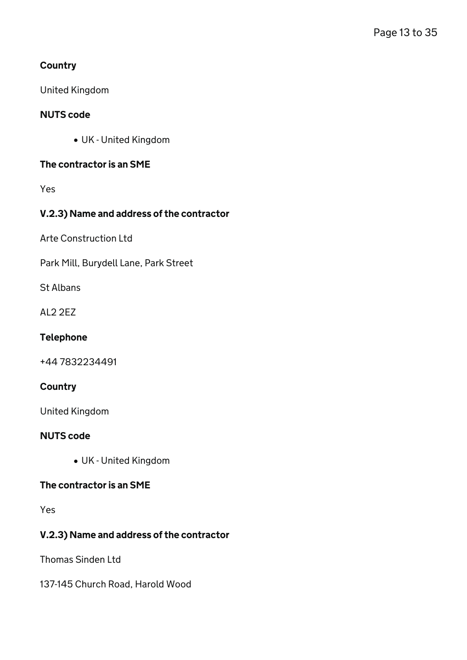## **Country**

United Kingdom

## NUTS code

UK - United Kingdom

## The contractor is an SME

Yes

## V.2.3) Name and address of the contractor

Arte Construction Ltd

Park Mill, Burydell Lane, Park Street

St Albans

AL2 2EZ

## Telephone

+44 7832234491

## **Country**

United Kingdom

## NUTS code

UK - United Kingdom

### The contractor is an SME

Yes

## V.2.3) Name and address of the contractor

Thomas Sinden Ltd

137-145 Church Road, Harold Wood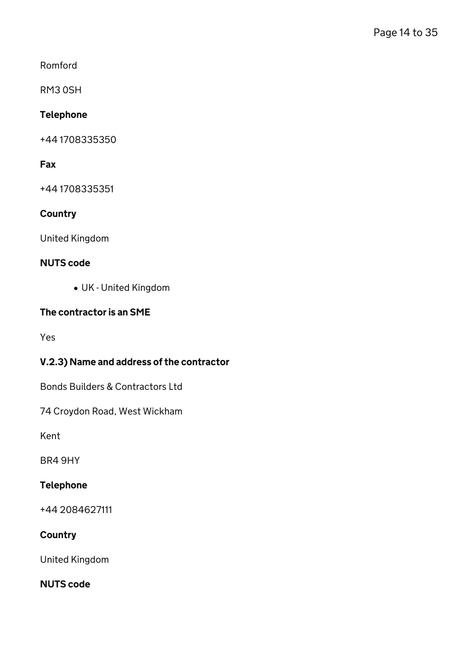Romford

RM3 0SH

### Telephone

+44 1708335350

### Fax

+44 1708335351

### **Country**

United Kingdom

#### NUTS code

UK - United Kingdom

## The contractor is an SME

Yes

## V.2.3) Name and address of the contractor

Bonds Builders & Contractors Ltd

74 Croydon Road, West Wickham

Kent

BR4 9HY

## Telephone

+44 2084627111

#### **Country**

United Kingdom

## NUTS code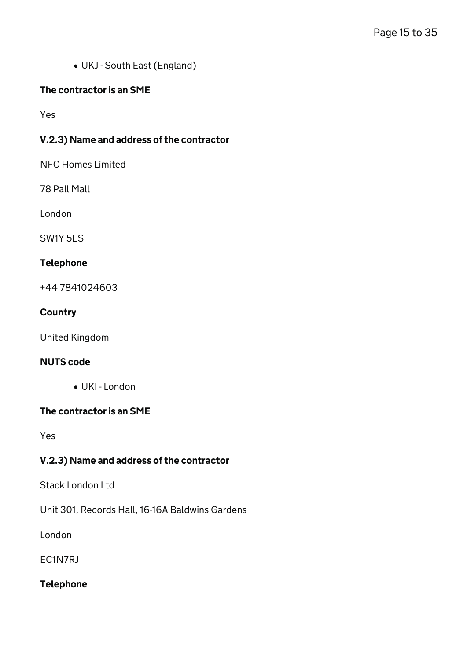UKJ - South East (England)

### The contractor is an SME

Yes

### V.2.3) Name and address of the contractor

NFC Homes Limited

78 Pall Mall

London

SW1Y 5ES

#### Telephone

+44 7841024603

#### **Country**

United Kingdom

#### NUTS code

UKI - London

#### The contractor is an SME

Yes

## V.2.3) Name and address of the contractor

Stack London Ltd

Unit 301, Records Hall, 16-16A Baldwins Gardens

London

EC1N7RJ

#### Telephone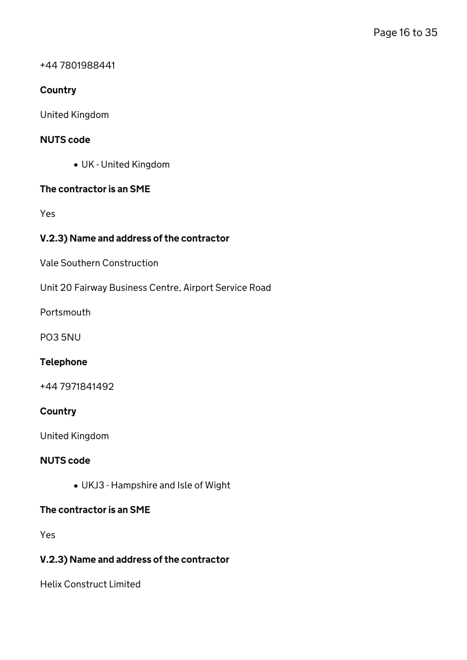#### +44 7801988441

### **Country**

United Kingdom

#### NUTS code

UK - United Kingdom

#### The contractor is an SME

Yes

#### V.2.3) Name and address of the contractor

Vale Southern Construction

Unit 20 Fairway Business Centre, Airport Service Road

Portsmouth

PO3 5NU

#### Telephone

+44 7971841492

#### **Country**

United Kingdom

#### NUTS code

UKJ3 - Hampshire and Isle of Wight

#### The contractor is an SME

Yes

#### V.2.3) Name and address of the contractor

Helix Construct Limited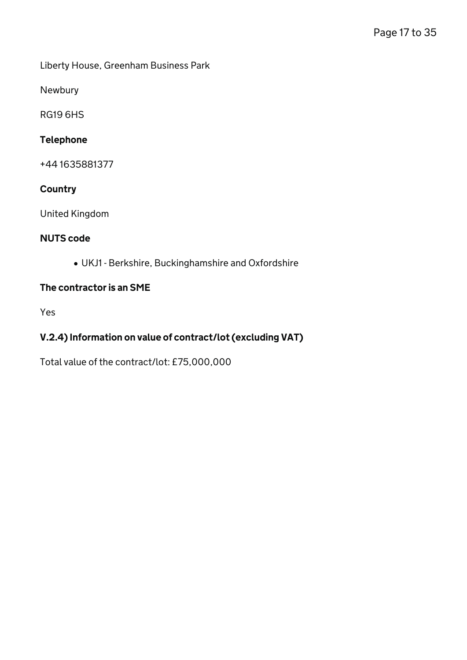Liberty House, Greenham Business Park

Newbury

RG19 6HS

### Telephone

+44 1635881377

## **Country**

United Kingdom

## NUTS code

UKJ1 - Berkshire, Buckinghamshire and Oxfordshire

#### The contractor is an SME

Yes

## V.2.4) Information on value of contract/lot (excluding VAT)

Total value of the contract/lot: £75,000,000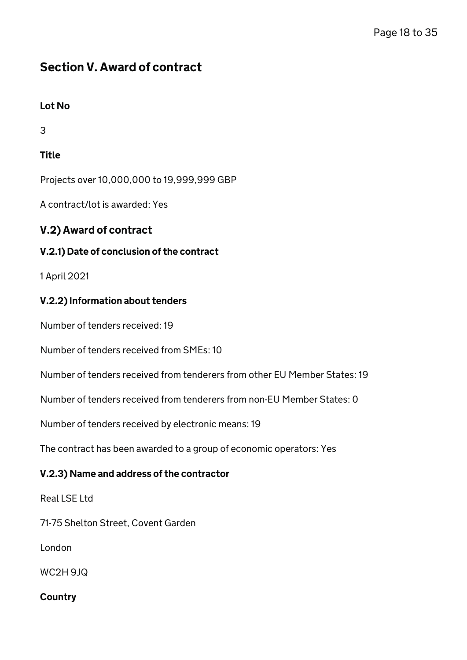# Section V. Award of contract

## Lot No

3

## **Title**

Projects over 10,000,000 to 19,999,999 GBP

A contract/lot is awarded: Yes

## V.2) Award of contract

## V.2.1) Date of conclusion of the contract

1 April 2021

## V.2.2) Information about tenders

Number of tenders received: 19

Number of tenders received from SMEs: 10

Number of tenders received from tenderers from other EU Member States: 19

Number of tenders received from tenderers from non-EU Member States: 0

Number of tenders received by electronic means: 19

The contract has been awarded to a group of economic operators: Yes

## V.2.3) Name and address of the contractor

Real LSE Ltd

71-75 Shelton Street, Covent Garden

London

WC2H 9JQ

**Country**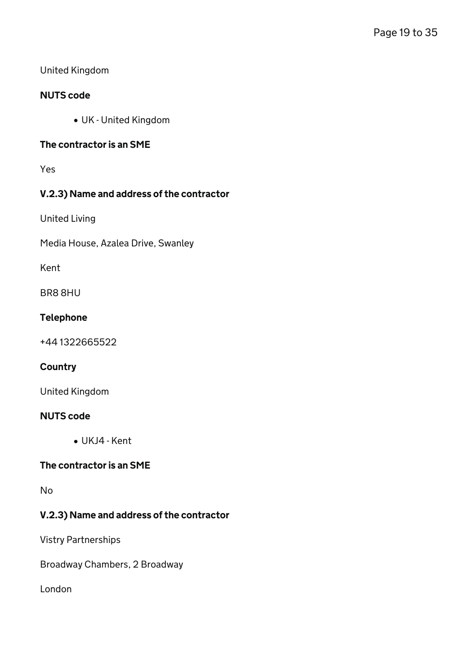### United Kingdom

#### NUTS code

UK - United Kingdom

#### The contractor is an SME

Yes

## V.2.3) Name and address of the contractor

United Living

Media House, Azalea Drive, Swanley

Kent

BR8 8HU

#### Telephone

+44 1322665522

#### **Country**

United Kingdom

#### NUTS code

UKJ4 - Kent

#### The contractor is an SME

No

## V.2.3) Name and address of the contractor

Vistry Partnerships

Broadway Chambers, 2 Broadway

London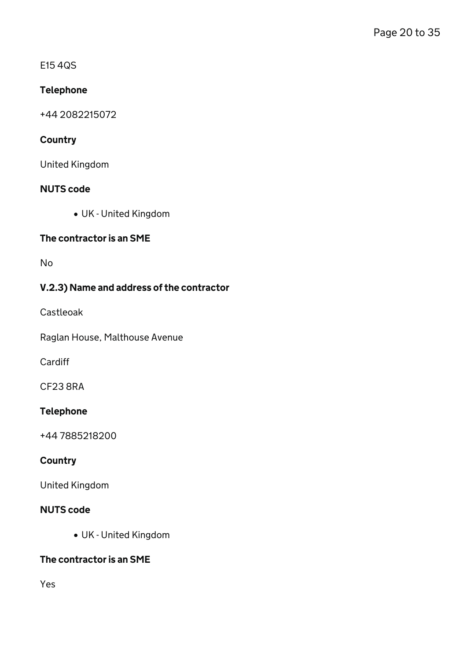E15 4QS

## Telephone

+44 2082215072

## **Country**

United Kingdom

## NUTS code

UK - United Kingdom

## The contractor is an SME

No

## V.2.3) Name and address of the contractor

Castleoak

Raglan House, Malthouse Avenue

**Cardiff** 

CF23 8RA

## Telephone

+44 7885218200

## **Country**

United Kingdom

## NUTS code

UK - United Kingdom

## The contractor is an SME

Yes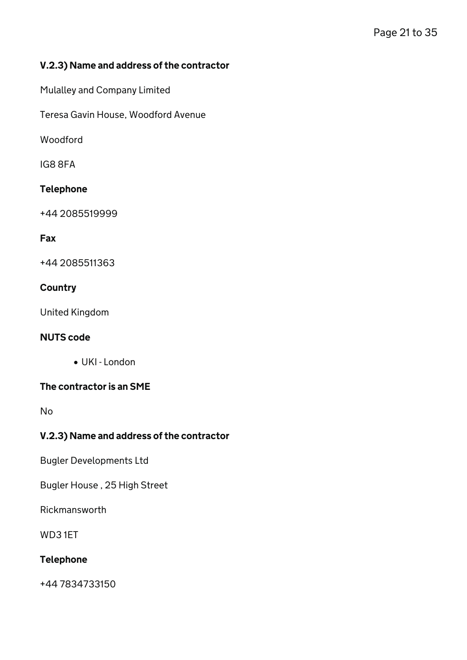## V.2.3) Name and address of the contractor

Mulalley and Company Limited

Teresa Gavin House, Woodford Avenue

Woodford

IG8 8FA

### Telephone

+44 2085519999

#### Fax

+44 2085511363

### **Country**

United Kingdom

#### NUTS code

UKI - London

#### The contractor is an SME

No

## V.2.3) Name and address of the contractor

Bugler Developments Ltd

Bugler House , 25 High Street

Rickmansworth

WD3 1ET

## Telephone

+44 7834733150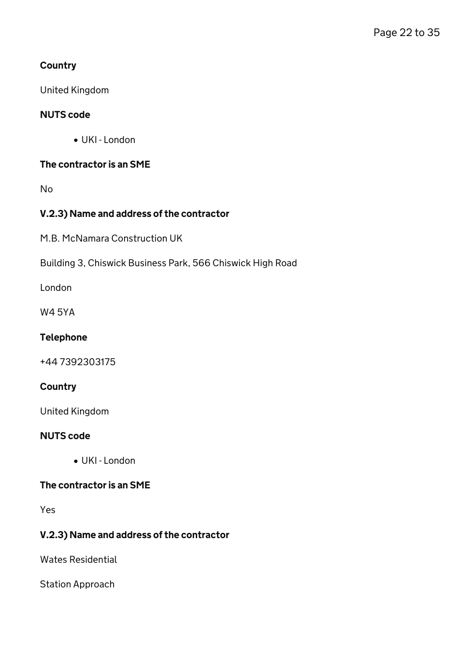## **Country**

United Kingdom

### NUTS code

UKI - London

### The contractor is an SME

No

## V.2.3) Name and address of the contractor

M.B. McNamara Construction UK

Building 3, Chiswick Business Park, 566 Chiswick High Road

London

W4 5YA

### Telephone

+44 7392303175

### **Country**

United Kingdom

#### NUTS code

UKI - London

### The contractor is an SME

Yes

## V.2.3) Name and address of the contractor

Wates Residential

Station Approach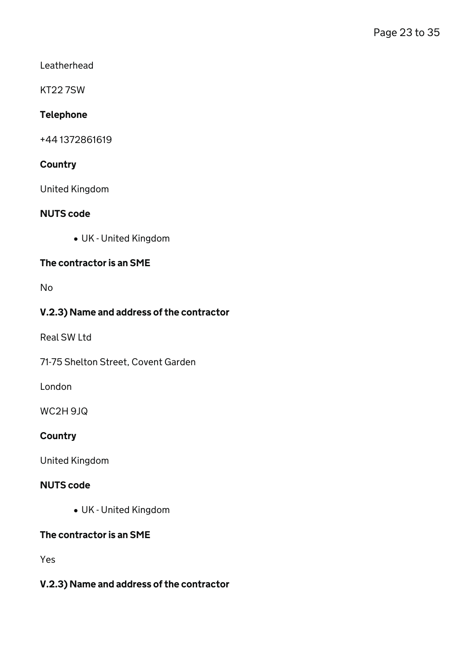Leatherhead

KT22 7SW

## Telephone

+44 1372861619

## **Country**

United Kingdom

### NUTS code

UK - United Kingdom

### The contractor is an SME

No

### V.2.3) Name and address of the contractor

Real SW Ltd

71-75 Shelton Street, Covent Garden

London

WC2H 9JQ

### **Country**

United Kingdom

### NUTS code

UK - United Kingdom

## The contractor is an SME

Yes

## V.2.3) Name and address of the contractor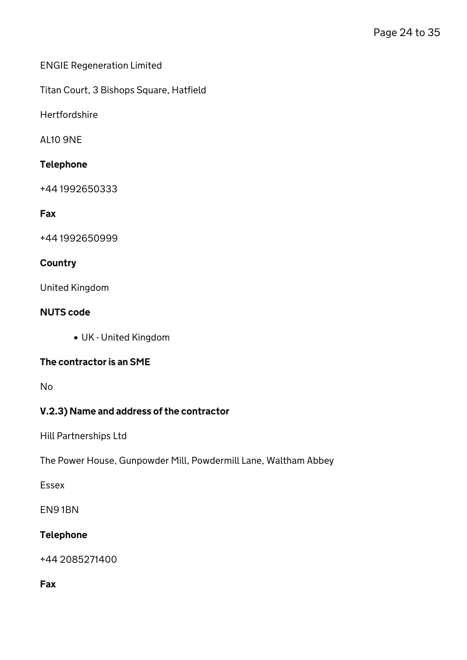### ENGIE Regeneration Limited

Titan Court, 3 Bishops Square, Hatfield

**Hertfordshire** 

AL10 9NE

### Telephone

+44 1992650333

## Fax

+44 1992650999

### **Country**

United Kingdom

### NUTS code

UK - United Kingdom

## The contractor is an SME

No

## V.2.3) Name and address of the contractor

Hill Partnerships Ltd

The Power House, Gunpowder Mill, Powdermill Lane, Waltham Abbey

Essex

EN9 1BN

## Telephone

+44 2085271400

#### Fax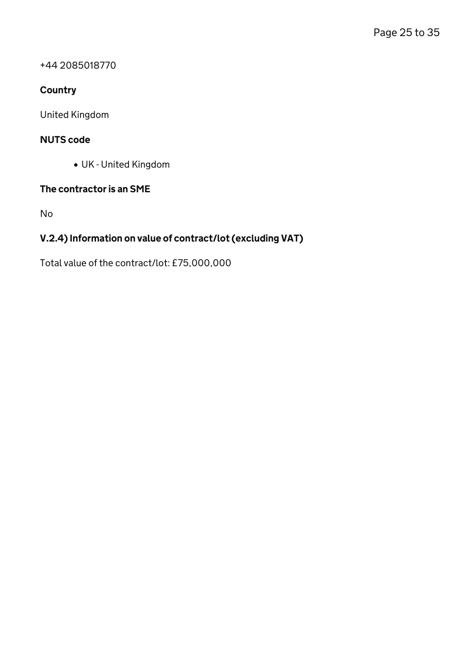+44 2085018770

## **Country**

United Kingdom

### NUTS code

UK - United Kingdom

## The contractor is an SME

No

## V.2.4) Information on value of contract/lot (excluding VAT)

Total value of the contract/lot: £75,000,000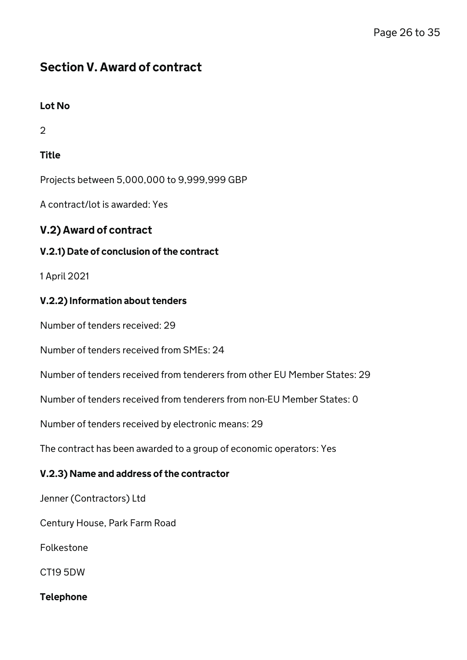# Section V. Award of contract

## Lot No

2

## **Title**

Projects between 5,000,000 to 9,999,999 GBP

A contract/lot is awarded: Yes

## V.2) Award of contract

## V.2.1) Date of conclusion of the contract

1 April 2021

## V.2.2) Information about tenders

Number of tenders received: 29

Number of tenders received from SMEs: 24

Number of tenders received from tenderers from other EU Member States: 29

Number of tenders received from tenderers from non-EU Member States: 0

Number of tenders received by electronic means: 29

The contract has been awarded to a group of economic operators: Yes

## V.2.3) Name and address of the contractor

Jenner (Contractors) Ltd

Century House, Park Farm Road

Folkestone

CT19 5DW

Telephone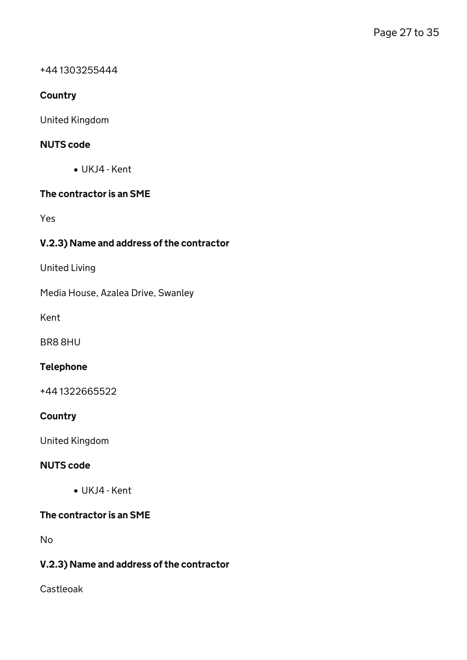#### +44 1303255444

### **Country**

United Kingdom

### NUTS code

UKJ4 - Kent

### The contractor is an SME

Yes

## V.2.3) Name and address of the contractor

United Living

Media House, Azalea Drive, Swanley

Kent

BR8 8HU

## Telephone

+44 1322665522

### **Country**

United Kingdom

#### NUTS code

UKJ4 - Kent

## The contractor is an SME

No

## V.2.3) Name and address of the contractor

Castleoak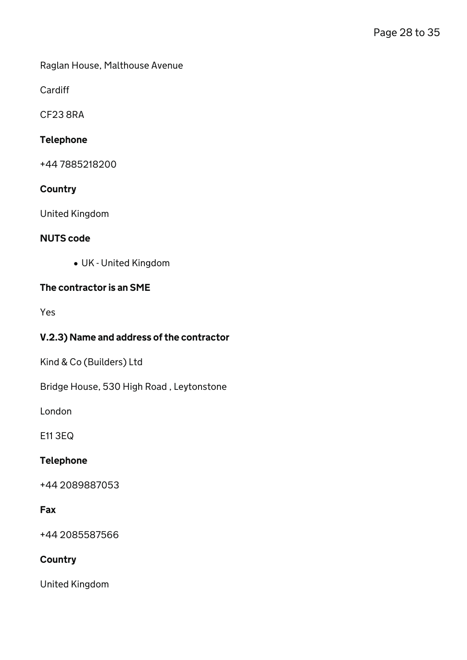Raglan House, Malthouse Avenue

Cardiff

CF23 8RA

## Telephone

+44 7885218200

#### **Country**

United Kingdom

#### NUTS code

UK - United Kingdom

### The contractor is an SME

Yes

### V.2.3) Name and address of the contractor

Kind & Co (Builders) Ltd

Bridge House, 530 High Road , Leytonstone

London

E11 3EQ

#### Telephone

+44 2089887053

### Fax

+44 2085587566

## **Country**

United Kingdom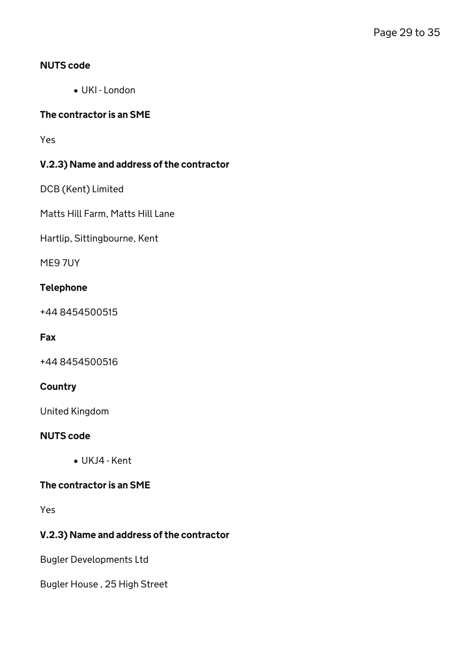#### NUTS code

UKI - London

#### The contractor is an SME

Yes

## V.2.3) Name and address of the contractor

DCB (Kent) Limited

Matts Hill Farm, Matts Hill Lane

Hartlip, Sittingbourne, Kent

ME9 7UY

#### Telephone

+44 8454500515

#### Fax

+44 8454500516

### **Country**

United Kingdom

#### NUTS code

UKJ4 - Kent

### The contractor is an SME

Yes

## V.2.3) Name and address of the contractor

Bugler Developments Ltd

Bugler House , 25 High Street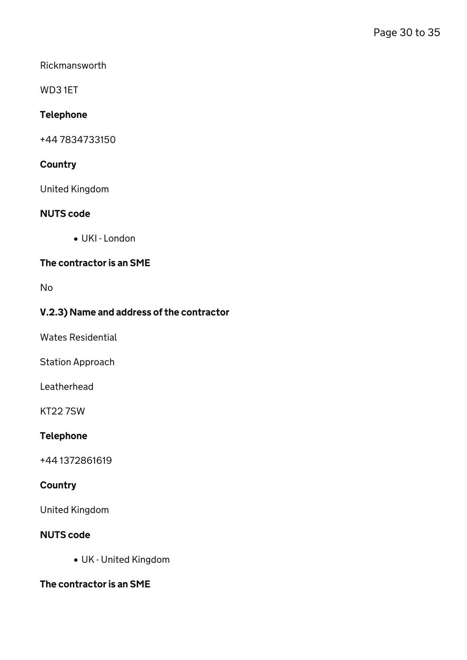Rickmansworth

WD3 1ET

### Telephone

+44 7834733150

## **Country**

United Kingdom

#### NUTS code

 $\bullet$  UKI - London

## The contractor is an SME

No

### V.2.3) Name and address of the contractor

Wates Residential

Station Approach

Leatherhead

KT22 7SW

#### Telephone

+44 1372861619

## **Country**

United Kingdom

#### NUTS code

UK - United Kingdom

The contractor is an SME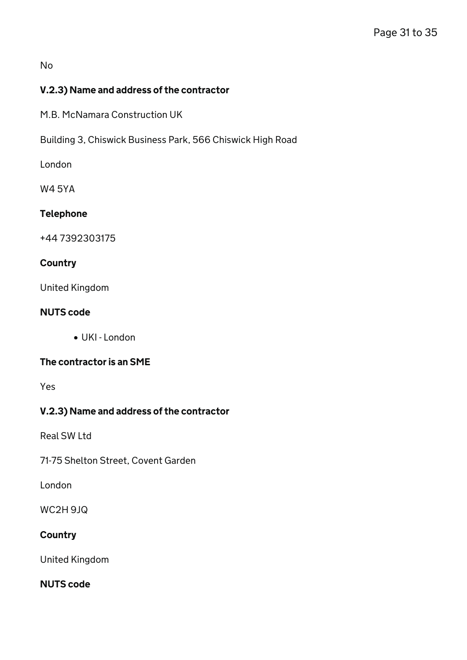#### No

## V.2.3) Name and address of the contractor

M.B. McNamara Construction UK

Building 3, Chiswick Business Park, 566 Chiswick High Road

London

W4 5YA

## Telephone

+44 7392303175

#### **Country**

United Kingdom

#### NUTS code

UKI - London

#### The contractor is an SME

Yes

## V.2.3) Name and address of the contractor

Real SW Ltd

71-75 Shelton Street, Covent Garden

London

WC2H 9JQ

#### **Country**

United Kingdom

NUTS code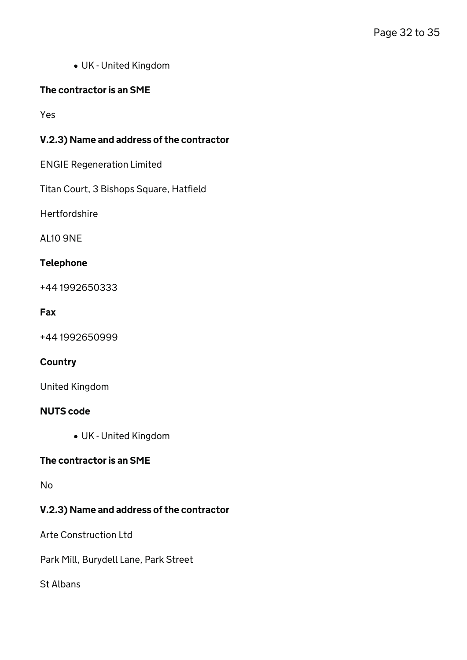UK - United Kingdom

## The contractor is an SME

Yes

## V.2.3) Name and address of the contractor

ENGIE Regeneration Limited

Titan Court, 3 Bishops Square, Hatfield

Hertfordshire

AL10 9NE

### Telephone

+44 1992650333

#### Fax

+44 1992650999

## **Country**

United Kingdom

#### NUTS code

UK - United Kingdom

## The contractor is an SME

No

## V.2.3) Name and address of the contractor

Arte Construction Ltd

Park Mill, Burydell Lane, Park Street

St Albans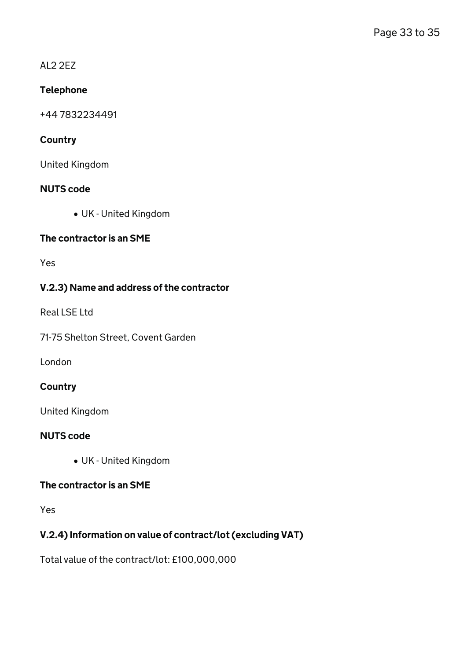#### AL2 2EZ

## Telephone

+44 7832234491

## **Country**

United Kingdom

## NUTS code

UK - United Kingdom

## The contractor is an SME

Yes

## V.2.3) Name and address of the contractor

Real LSE Ltd

71-75 Shelton Street, Covent Garden

London

## **Country**

United Kingdom

## NUTS code

UK - United Kingdom

## The contractor is an SME

Yes

## V.2.4) Information on value of contract/lot (excluding VAT)

Total value of the contract/lot: £100,000,000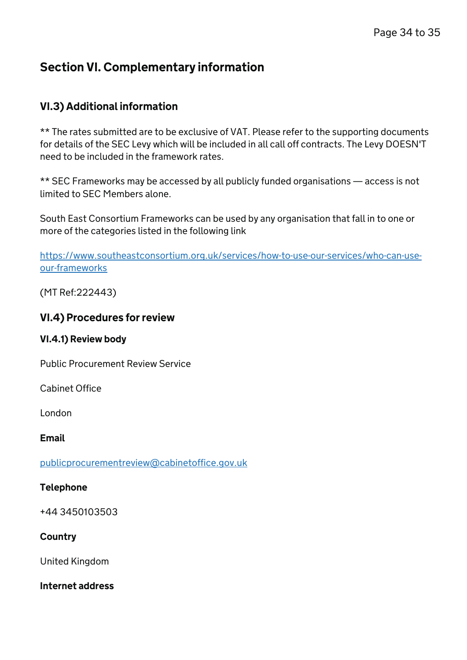# Section VI. Complementary information

## VI.3) Additional information

\*\* The rates submitted are to be exclusive of VAT. Please refer to the supporting documents for details of the SEC Levy which will be included in all call off contracts. The Levy DOESN'T need to be included in the framework rates.

\*\* SEC Frameworks may be accessed by all publicly funded organisations — access is not limited to SEC Members alone.

South East Consortium Frameworks can be used by any organisation that fall in to one or more of the categories listed in the following link

[https://www.southeastconsortium.org.uk/services/how-to-use-our-services/who-can-use](https://www.southeastconsortium.org.uk/services/how-to-use-our-services/who-can-use-our-frameworks)[our-frameworks](https://www.southeastconsortium.org.uk/services/how-to-use-our-services/who-can-use-our-frameworks)

(MT Ref:222443)

## VI.4) Procedures for review

## VI.4.1) Review body

Public Procurement Review Service

Cabinet Office

London

Email

[publicprocurementreview@cabinetoffice.gov.uk](mailto:publicprocurementreview@cabinetoffice.gov.uk)

## Telephone

+44 3450103503

## **Country**

United Kingdom

Internet address